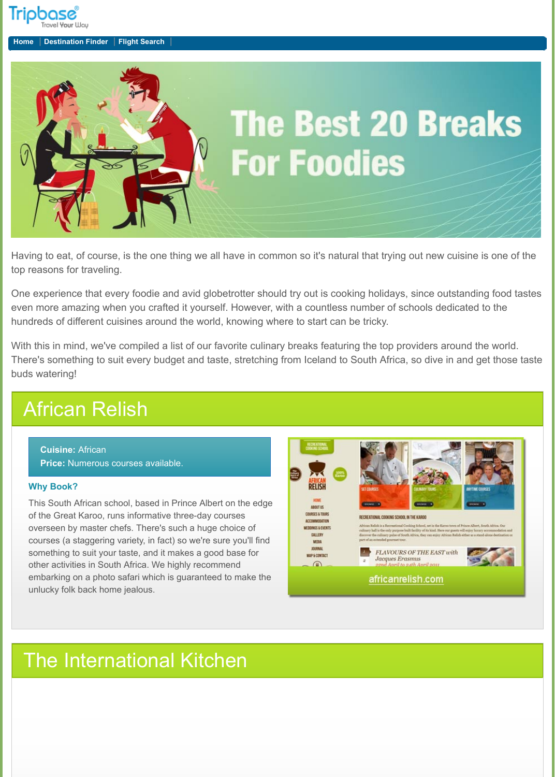

**Cuisine:** African **Price: Numerous courses available.** 



Having to eat, of course, is the one thing we all have in common so it's natural that trying out new cuisine is one of the top reasons for traveling.

One experience that every foodie and avid globetrotter should try out is cooking holidays, since outstanding food tastes even more amazing when you crafted it yourself. However, with a countless number of schools dedicated to the hundreds of different cuisines around the world, knowing where to start can be tricky.

With this in mind, we've compiled a list of our favorite culinary breaks featuring the top providers around the world. There's something to suit every budget and taste, stretching from Iceland to South Africa, so dive in and get those taste buds watering!

COURSES

MAP & C

## African Relish

### **Why Book?**

This South African school, based in Prince Albert on the edge



of the Great Karoo, runs informative three-day courses overseen by master chefs. There's such a huge choice of courses (a staggering variety, in fact) so we're sure you'll find something to suit your taste, and it makes a good base for other activities in South Africa. We highly recommend embarking on a photo safari which is guaranteed to make the unlucky folk back home jealous.

| OATION<br><b>EVENTS</b><br>IΝ | RECREATIONAL COOKING SCHOOL IN THE KARDO<br>African Relish is a Recreational Cooking School, set in the Karoo town of Prince Albert, South Africa. Our<br>cultury hall is the only purpose built facility of its kind. Here our guests will enjoy havary accommodation and<br>discover the culinary pulse of South Africa, they can enjoy African Ralish either as a stand-alone destination or<br>part of an extended gourmet tour. |
|-------------------------------|--------------------------------------------------------------------------------------------------------------------------------------------------------------------------------------------------------------------------------------------------------------------------------------------------------------------------------------------------------------------------------------------------------------------------------------|
| ш<br><b>NTACT</b>             | <b>FLAVOURS OF THE EAST with</b><br><b>Jacques Erasmus</b><br>$\mathcal{D}$<br>22nd April to 24th April 2011                                                                                                                                                                                                                                                                                                                         |
|                               | africanrelish.com                                                                                                                                                                                                                                                                                                                                                                                                                    |

### The International Kitchen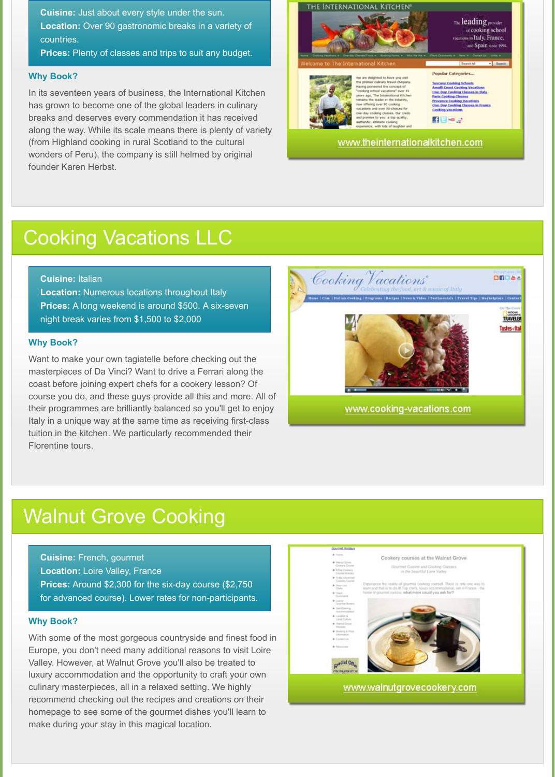**Cuisine:** Just about every style under the sun. **Location:** Over 90 gastronomic breaks in a variety of countries.

**Prices:** Plenty of classes and trips to suit any budget.

#### **Cuisine:** Italian

**Location:** Numerous locations throughout Italy **Prices:** A long weekend is around \$500. A six-seven night break varies from \$1,500 to \$2,000

**Cuisine:** French, gourmet **Location: Loire Valley, France Prices:** Around \$2,300 for the six-day course (\$2,750 for advanced course). Lower rates for non-participants.

#### **Why Book?**

In its seventeen years of business, the International Kitchen has grown to become one of the global leaders in culinary breaks and deserves every commendation it has received along the way. While its scale means there is plenty of variety (from Highland cooking in rural Scotland to the cultural wonders of Peru), the company is still helmed by original founder Karen Herbst.



www.theinternationalkitchen.com

## Cooking Vacations LLC

#### **Why Book?**

Want to make your own tagiatelle before checking out the masterpieces of Da Vinci? Want to drive a Ferrari along the coast before joining expert chefs for a cookery lesson? Of course you do, and these guys provide all this and more. All of their programmes are brilliantly balanced so you'll get to enjoy Italy in a unique way at the same time as receiving first-class tuition in the kitchen. We particularly recommended their Florentine tours.



## Walnut Grove Cooking

#### **Why Book?**

With some of the most gorgeous countryside and finest food in Europe, you don't need many additional reasons to visit Loire Valley. However, at Walnut Grove you'll also be treated to luxury accommodation and the opportunity to craft your own culinary masterpieces, all in a relaxed setting. We highly recommend checking out the recipes and creations on their homepage to see some of the gourmet dishes you'll learn to make during your stay in this magical location.



#### www.walnutgrovecookery.com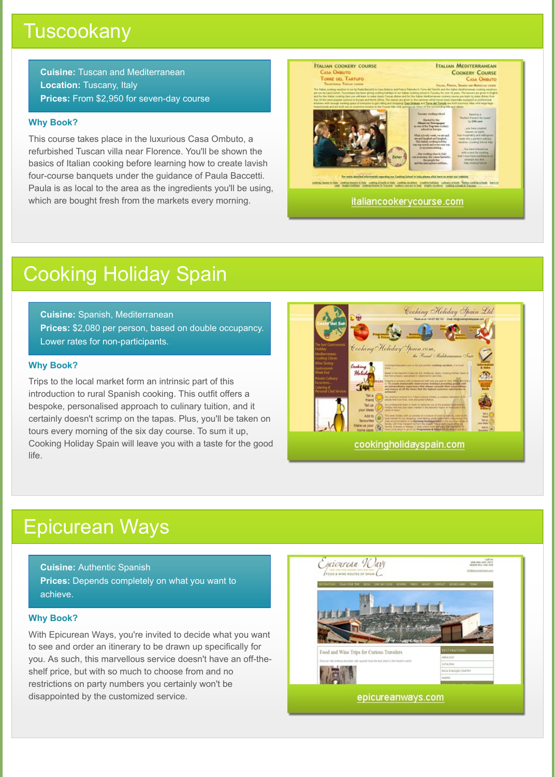### **Tuscookany**

**Cuisine:** Tuscan and Mediterranean **Location:** Tuscany, Italy **Prices:** From \$2,950 for seven-day course

**Cuisine:** Spanish, Mediterranean **Prices:** \$2,080 per person, based on double occupancy. Lower rates for non-participants.

**Cuisine:** Authentic Spanish **Prices:** Depends completely on what you want to achieve.

### **Why Book?**

This course takes place in the luxurious Casa Ombuto, a refurbished Tuscan villa near Florence. You'll be shown the basics of Italian cooking before learning how to create lavish four-course banquets under the guidance of Paula Baccetti. Paula is as local to the area as the ingredients you'll be using, which are bought fresh from the markets every morning.



italiancookerycourse.com

# Cooking Holiday Spain

### **Why Book?**

Trips to the local market form an intrinsic part of this introduction to rural Spanish cooking. This outfit offers a bespoke, personalised approach to culinary tuition, and it certainly doesn't scrimp on the tapas. Plus, you'll be taken on tours every morning of the six day course. To sum it up, Cooking Holiday Spain will leave you with a taste for the good life.



## Epicurean Ways

### **Why Book?**

With Epicurean Ways, you're invited to decide what you want to see and order an itinerary to be drawn up specifically for you. As such, this marvellous service doesn't have an off-theshelf price, but with so much to choose from and no restrictions on party numbers you certainly won't be disappointed by the customized service.

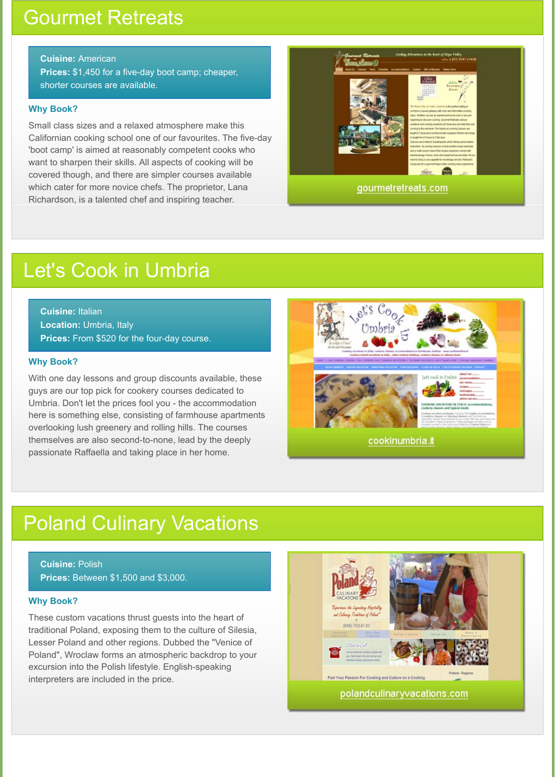**Cuisine:** American **Prices:** \$1,450 for a five-day boot camp; cheaper, shorter courses are available.

**Cuisine:** Italian **Location:** Umbria, Italy **Prices:** From \$520 for the four-day course.

**Cuisine:** Polish **Prices:** Between \$1,500 and \$3,000.

## Gourmet Retreats

### **Why Book?**

Small class sizes and a relaxed atmosphere make this Californian cooking school one of our favourites. The five-day 'boot camp' is aimed at reasonably competent cooks who want to sharpen their skills. All aspects of cooking will be covered though, and there are simpler courses available which cater for more novice chefs. The proprietor, Lana Richardson, is a talented chef and inspiring teacher.



## Let's Cook in Umbria

### **Why Book?**

With one day lessons and group discounts available, these guys are our top pick for cookery courses dedicated to Umbria. Don't let the prices fool you - the accommodation here is something else, consisting of farmhouse apartments overlooking lush greenery and rolling hills. The courses themselves are also second-to-none, lead by the deeply passionate Raffaella and taking place in her home.



cookinumbria.it

## Poland Culinary Vacations

### **Why Book?**

These custom vacations thrust guests into the heart of traditional Poland, exposing them to the culture of Silesia, Lesser Poland and other regions. Dubbed the "Venice of Poland", Wroclaw forms an atmospheric backdrop to your excursion into the Polish lifestyle. English-speaking interpreters are included in the price.

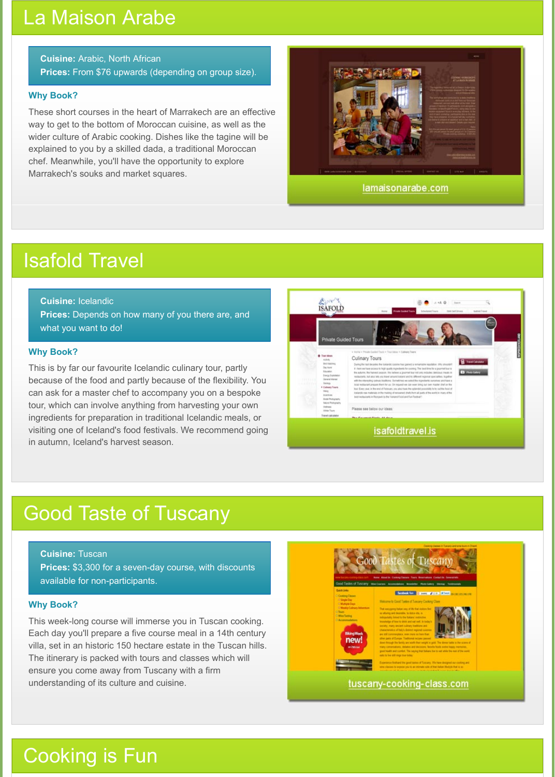**Cuisine:** Arabic, North African **Prices:** From \$76 upwards (depending on group size).

**Prices:** Depends on how many of you there are, and what you want to do!

#### **Cuisine:** Icelandic

**Cuisine:** Tuscan **Prices:** \$3,300 for a seven-day course, with discounts available for non-participants.

### La Maison Arabe

### **Why Book?**

These short courses in the heart of Marrakech are an effective way to get to the bottom of Moroccan cuisine, as well as the wider culture of Arabic cooking. Dishes like the tagine will be explained to you by a skilled dada, a traditional Moroccan chef. Meanwhile, you'll have the opportunity to explore Marrakech's souks and market squares.



lamaisonarabe.com

## Isafold Travel

### **Why Book?**

This is by far our favourite Icelandic culinary tour, partly because of the food and partly because of the flexibility. You can ask for a master chef to accompany you on a bespoke tour, which can involve anything from harvesting your own ingredients for preparation in traditional Icelandic meals, or visiting one of Iceland's food festivals. We recommend going in autumn, Iceland's harvest season.



## Good Taste of Tuscany

### **Why Book?**

This week-long course will immerse you in Tuscan cooking. Each day you'll prepare a five course meal in a 14th century villa, set in an historic 150 hectare estate in the Tuscan hills. The itinerary is packed with tours and classes which will ensure you come away from Tuscany with a firm understanding of its culture and cuisine.



## Cooking is Fun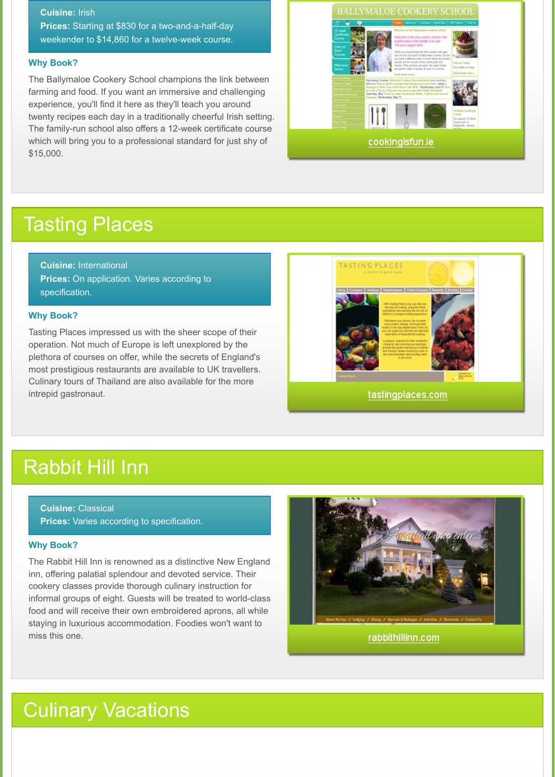**Cuisine:** Irish **Prices:** Starting at \$830 for a two-and-a-half-day weekender to \$14,860 for a twelve-week course.

**Cuisine:** International **Prices:** On application. Varies according to specification.

**Cuisine:** Classical **Prices:** Varies according to specification.

### **Why Book?**

The Ballymaloe Cookery School champions the link between farming and food. If you want an immersive and challenging experience, you'll find it here as they'll teach you around twenty recipes each day in a traditionally cheerful Irish setting. The family-run school also offers a 12-week certificate course which will bring you to a professional standard for just shy of \$15,000.



## Tasting Places

### **Why Book?**

Tasting Places impressed us with the sheer scope of their operation. Not much of Europe is left unexplored by the plethora of courses on offer, while the secrets of England's most prestigious restaurants are available to UK travellers. Culinary tours of Thailand are also available for the more intrepid gastronaut.



## Rabbit Hill Inn

### **Why Book?**

The Rabbit Hill Inn is renowned as a distinctive New England inn, offering palatial splendour and devoted service. Their cookery classes provide thorough culinary instruction for informal groups of eight. Guests will be treated to world-class food and will receive their own embroidered aprons, all while staying in luxurious accommodation. Foodies won't want to miss this one.



## Culinary Vacations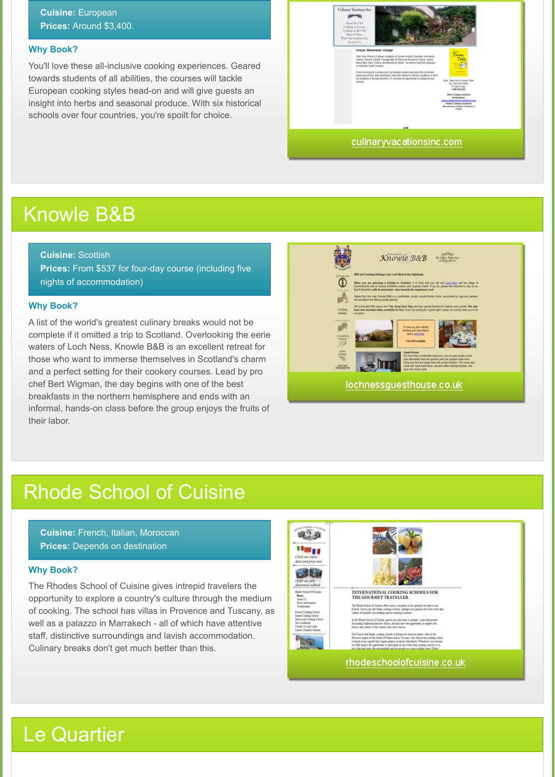**Cuisine:** European **Prices:** Around \$3,400.

**Cuisine:** French, Italian, Moroccan **Prices: Depends on destination** 

**Cuisine:** Scottish **Prices:** From \$537 for four-day course (including five nights of accommodation)

#### **Why Book?**

You'll love these all-inclusive cooking experiences. Geared towards students of all abilities, the courses will tackle European cooking styles head-on and will give guests an insight into herbs and seasonal produce. With six historical schools over four countries, you're spoilt for choice.



## Knowle B&B

#### **Why Book?**

A list of the world's greatest culinary breaks would not be complete if it omitted a trip to Scotland. Overlooking the eerie waters of Loch Ness, Knowle B&B is an excellent retreat for those who want to immerse themselves in Scotland's charm and a perfect setting for their cookery courses. Lead by pro chef Bert Wigman, the day begins with one of the best breakfasts in the northern hemisphere and ends with an informal, hands-on class before the group enjoys the fruits of their labor.



## Rhode School of Cuisine

### **Why Book?**

The Rhodes School of Cuisine gives intrepid travelers the opportunity to explore a country's culture through the medium of cooking. The school has villas in Provence and Tuscany, as well as a palazzo in Marrakech - all of which have attentive staff, distinctive surroundings and lavish accommodation. Culinary breaks don't get much better than this.



#### INTERNATIONAL COOKING SCHOOLS FOR THE GOURMET TRAVELLER

The Rhode School of Cuzone effers hmary vacator<br>as to the general traveller at our French, Moroccan and Indian cooking schools. But<br>alge your paraises for final, was and culture as beautiful surroundings and as streaming

At the Rhode School of Custos, guests not only learn to prepare, cook and present fluctuating traditional and new dialies, but also have the opportunity in explore the limitary and culture of the country they have chosen.

Our Freech and Italian cooking schools in Europe are based in larger will<br>as in the Provence region of the South of France and in Tuscany. Our Moreocan cooking school<br>is based in our superb Dat Ligatus palazzo in easter M we offer guests the opportunity to packcrashe in our week-long cooking courses or to ylat and enjoy the surroundings and excursions as a non-cooking ment.

### rhodeschoolofcuisine.co.uk

## Le Quartier